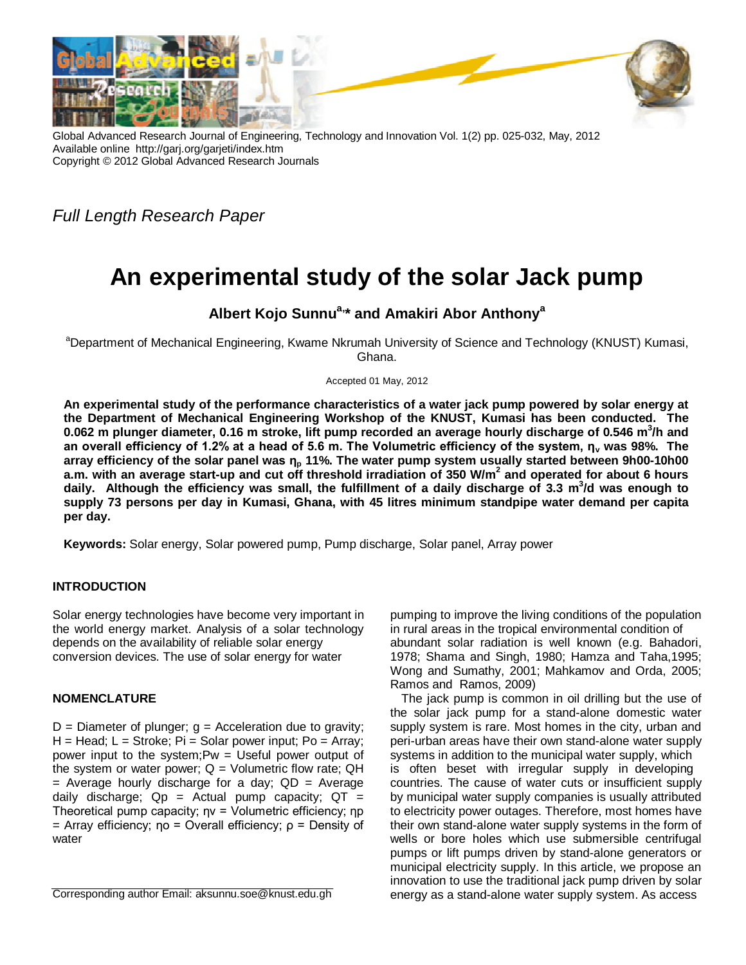

Global Advanced Research Journal of Engineering, Technology and Innovation Vol. 1(2) pp. 025-032, May, 2012 Available online http://garj.org/garjeti/index.htm Copyright © 2012 Global Advanced Research Journals

*Full Length Research Paper*

# **An experimental study of the solar Jack pump**

# **Albert Kojo Sunnua,\* and Amakiri Abor Anthony<sup>a</sup>**

<sup>a</sup>Department of Mechanical Engineering, Kwame Nkrumah University of Science and Technology (KNUST) Kumasi, Ghana.

Accepted 01 May, 2012

**An experimental study of the performance characteristics of a water jack pump powered by solar energy at the Department of Mechanical Engineering Workshop of the KNUST, Kumasi has been conducted. The 0.062 m plunger diameter, 0.16 m stroke, lift pump recorded an average hourly discharge of 0.546 m<sup>3</sup> /h and an overall efficiency of 1.2% at a head of 5.6 m. The Volumetric efficiency of the system, η<sup>v</sup> was 98%. The array efficiency of the solar panel was η<sup>p</sup> 11%. The water pump system usually started between 9h00-10h00 a.m. with an average start-up and cut off threshold irradiation of 350 W/m<sup>2</sup> and operated for about 6 hours daily. Although the efficiency was small, the fulfillment of a daily discharge of 3.3 m<sup>3</sup> /d was enough to supply 73 persons per day in Kumasi, Ghana, with 45 litres minimum standpipe water demand per capita per day.** 

**Keywords:** Solar energy, Solar powered pump, Pump discharge, Solar panel, Array power

## **INTRODUCTION**

Solar energy technologies have become very important in the world energy market. Analysis of a solar technology depends on the availability of reliable solar energy conversion devices. The use of solar energy for water

## **NOMENCLATURE**

 $D =$  Diameter of plunger;  $q =$  Acceleration due to gravity;  $H =$  Head;  $L =$  Stroke; Pi = Solar power input; Po = Array; power input to the system;Pw = Useful power output of the system or water power;  $Q =$  Volumetric flow rate;  $QH$  $=$  Average hourly discharge for a day;  $QD =$  Average daily discharge;  $Qp =$  Actual pump capacity;  $QT =$ Theoretical pump capacity; ηv = Volumetric efficiency; ηp  $=$  Array efficiency; ηo = Overall efficiency;  $ρ =$  Density of water

Corresponding author Email: aksunnu.soe@knust.edu.gh

pumping to improve the living conditions of the population in rural areas in the tropical environmental condition of abundant solar radiation is well known (e.g. Bahadori, 1978; Shama and Singh, 1980; Hamza and Taha,1995; Wong and Sumathy, 2001; Mahkamov and Orda, 2005; Ramos and Ramos, 2009)

The jack pump is common in oil drilling but the use of the solar jack pump for a stand-alone domestic water supply system is rare. Most homes in the city, urban and peri-urban areas have their own stand-alone water supply systems in addition to the municipal water supply, which is often beset with irregular supply in developing countries. The cause of water cuts or insufficient supply by municipal water supply companies is usually attributed to electricity power outages. Therefore, most homes have their own stand-alone water supply systems in the form of wells or bore holes which use submersible centrifugal pumps or lift pumps driven by stand-alone generators or municipal electricity supply. In this article, we propose an innovation to use the traditional jack pump driven by solar energy as a stand-alone water supply system. As access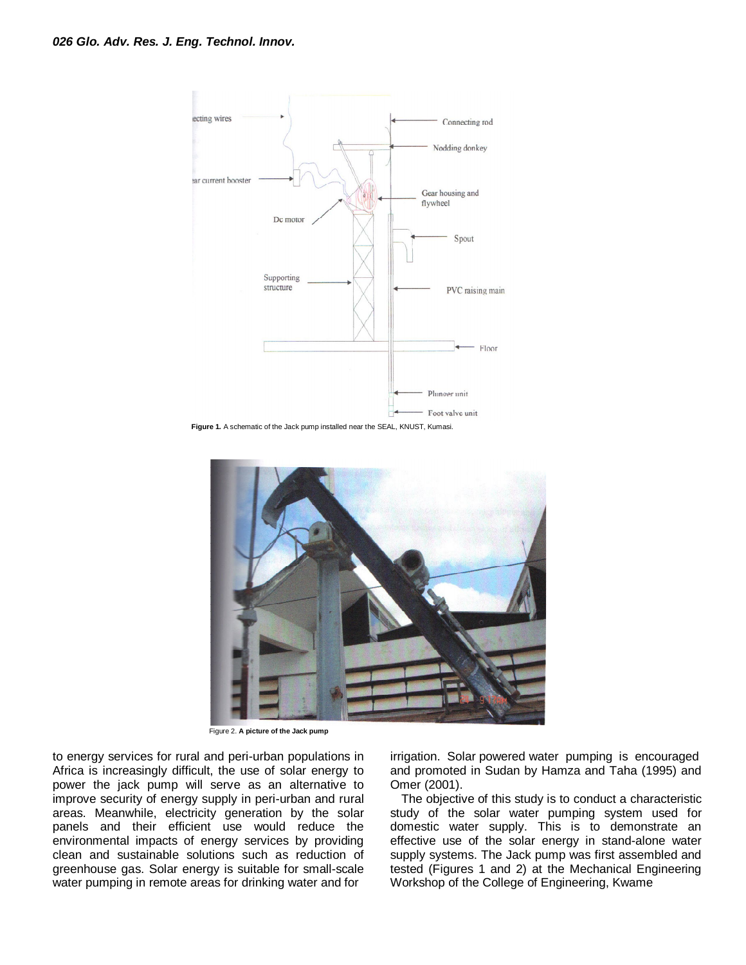

**Figure 1.** A schematic of the Jack pump installed near the SEAL, KNUST, Kumasi.



Figure 2. **A picture of the Jack pump**

to energy services for rural and peri-urban populations in Africa is increasingly difficult, the use of solar energy to power the jack pump will serve as an alternative to improve security of energy supply in peri-urban and rural areas. Meanwhile, electricity generation by the solar panels and their efficient use would reduce the environmental impacts of energy services by providing clean and sustainable solutions such as reduction of greenhouse gas. Solar energy is suitable for small-scale water pumping in remote areas for drinking water and for

irrigation. Solar powered water pumping is encouraged and promoted in Sudan by Hamza and Taha (1995) and Omer (2001).

The objective of this study is to conduct a characteristic study of the solar water pumping system used for domestic water supply. This is to demonstrate an effective use of the solar energy in stand-alone water supply systems. The Jack pump was first assembled and tested (Figures 1 and 2) at the Mechanical Engineering Workshop of the College of Engineering, Kwame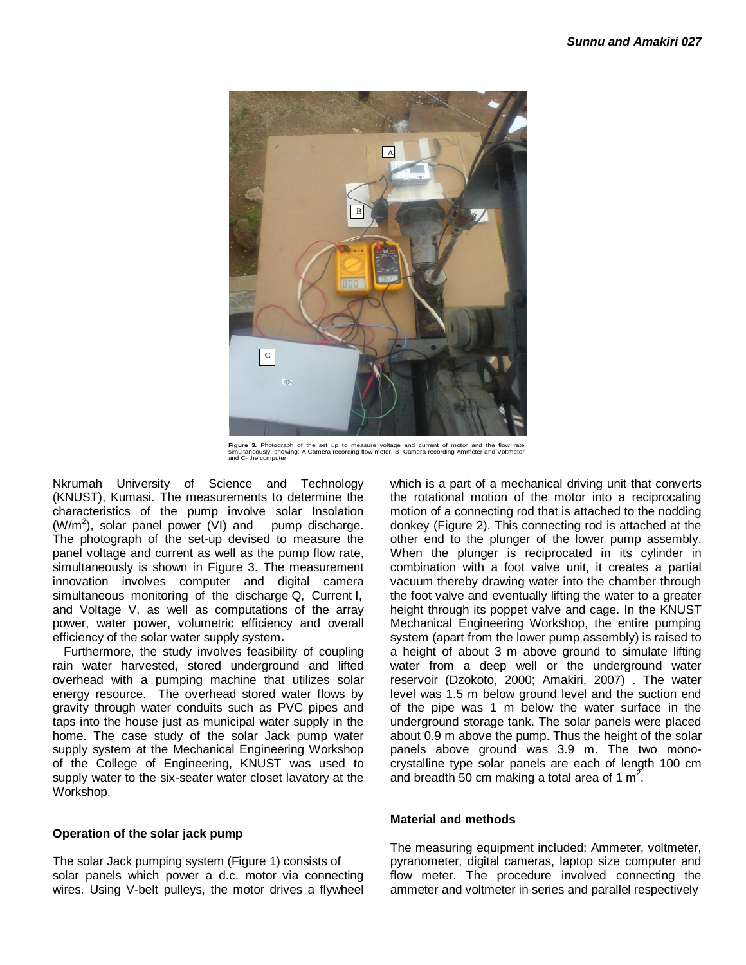

**Figure 3.** Photograph of the set up to measure voltage and current of motor and the flow rate simultaneously, showing: A-Camera recording flow meter, B- Camera recording Ammeter and Voltmeter and C- the computer.

Nkrumah University of Science and Technology (KNUST), Kumasi. The measurements to determine the characteristics of the pump involve solar Insolation  $(W/m<sup>2</sup>)$ , solar panel power (VI) and pump discharge. The photograph of the set-up devised to measure the panel voltage and current as well as the pump flow rate, simultaneously is shown in Figure 3. The measurement innovation involves computer and digital camera simultaneous monitoring of the discharge Q, Current I, and Voltage V, as well as computations of the array power, water power, volumetric efficiency and overall efficiency of the solar water supply system**.**

Furthermore, the study involves feasibility of coupling rain water harvested, stored underground and lifted overhead with a pumping machine that utilizes solar energy resource. The overhead stored water flows by gravity through water conduits such as PVC pipes and taps into the house just as municipal water supply in the home. The case study of the solar Jack pump water supply system at the Mechanical Engineering Workshop of the College of Engineering, KNUST was used to supply water to the six-seater water closet lavatory at the Workshop.

#### **Operation of the solar jack pump**

The solar Jack pumping system (Figure 1) consists of solar panels which power a d.c. motor via connecting wires. Using V-belt pulleys, the motor drives a flywheel

which is a part of a mechanical driving unit that converts the rotational motion of the motor into a reciprocating motion of a connecting rod that is attached to the nodding donkey (Figure 2). This connecting rod is attached at the other end to the plunger of the lower pump assembly. When the plunger is reciprocated in its cylinder in combination with a foot valve unit, it creates a partial vacuum thereby drawing water into the chamber through the foot valve and eventually lifting the water to a greater height through its poppet valve and cage. In the KNUST Mechanical Engineering Workshop, the entire pumping system (apart from the lower pump assembly) is raised to a height of about 3 m above ground to simulate lifting water from a deep well or the underground water reservoir (Dzokoto, 2000; Amakiri, 2007) . The water level was 1.5 m below ground level and the suction end of the pipe was 1 m below the water surface in the underground storage tank. The solar panels were placed about 0.9 m above the pump. Thus the height of the solar panels above ground was 3.9 m. The two monocrystalline type solar panels are each of length 100 cm and breadth 50 cm making a total area of 1  $m^2$ .

#### **Material and methods**

The measuring equipment included: Ammeter, voltmeter, pyranometer, digital cameras, laptop size computer and flow meter. The procedure involved connecting the ammeter and voltmeter in series and parallel respectively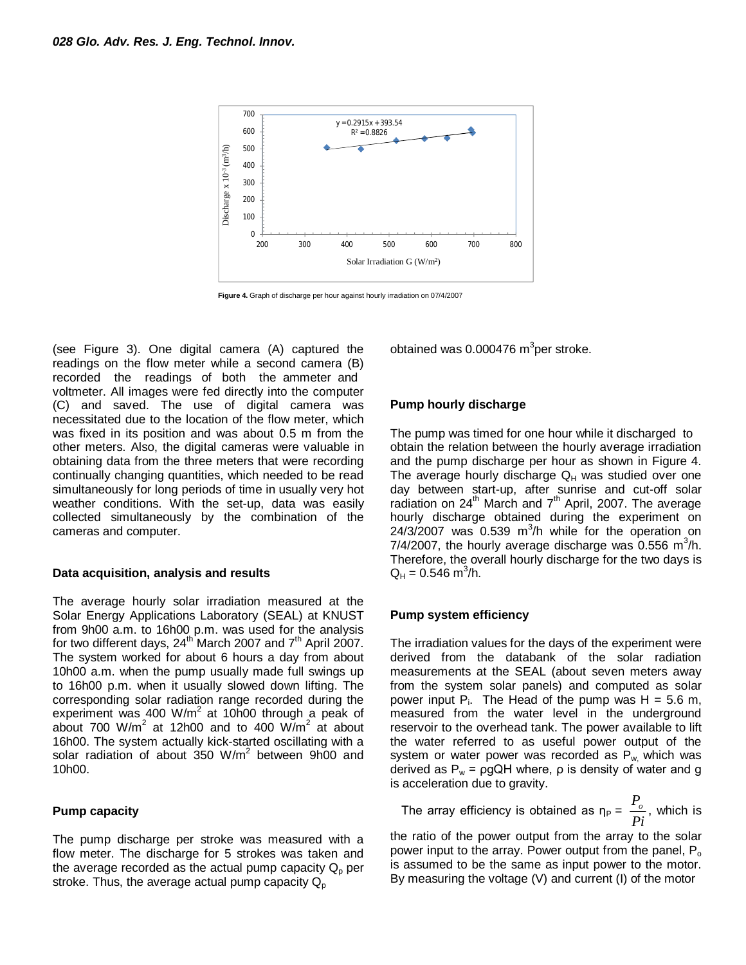

**Figure 4.** Graph of discharge per hour against hourly irradiation on 07/4/2007

(see Figure 3). One digital camera (A) captured the readings on the flow meter while a second camera (B) recorded the readings of both the ammeter and voltmeter. All images were fed directly into the computer (C) and saved. The use of digital camera was necessitated due to the location of the flow meter, which was fixed in its position and was about 0.5 m from the other meters. Also, the digital cameras were valuable in obtaining data from the three meters that were recording continually changing quantities, which needed to be read simultaneously for long periods of time in usually very hot weather conditions. With the set-up, data was easily collected simultaneously by the combination of the cameras and computer.

#### **Data acquisition, analysis and results**

The average hourly solar irradiation measured at the Solar Energy Applications Laboratory (SEAL) at KNUST from 9h00 a.m. to 16h00 p.m. was used for the analysis for two different days,  $24<sup>th</sup>$  March 2007 and  $7<sup>th</sup>$  April 2007. The system worked for about 6 hours a day from about 10h00 a.m. when the pump usually made full swings up to 16h00 p.m. when it usually slowed down lifting. The corresponding solar radiation range recorded during the experiment was 400 W/m<sup>2</sup> at 10h00 through a peak of about 700 W/m<sup>2</sup> at 12h00 and to 400 W/m<sup>2</sup> at about 16h00. The system actually kick-started oscillating with a solar radiation of about  $350$  W/m<sup>2</sup> between 9h00 and 10h00.

#### **Pump capacity**

The pump discharge per stroke was measured with a flow meter. The discharge for 5 strokes was taken and the average recorded as the actual pump capacity  $Q_{p}$  per stroke. Thus, the average actual pump capacity  $Q_p$ 

obtained was 0.000476  $\text{m}^3$ per stroke.

#### **Pump hourly discharge**

The pump was timed for one hour while it discharged to obtain the relation between the hourly average irradiation and the pump discharge per hour as shown in Figure 4. The average hourly discharge  $Q_H$  was studied over one day between start-up, after sunrise and cut-off solar radiation on  $24^{th}$  March and  $7^{th}$  April, 2007. The average hourly discharge obtained during the experiment on  $24/3/2007$  was 0.539 m<sup>3</sup>/h while for the operation on 7/4/2007, the hourly average discharge was  $0.556$  m<sup>3</sup>/h. Therefore, the overall hourly discharge for the two days is  $Q_H = 0.546$  m<sup>3</sup>/h.

#### **Pump system efficiency**

The irradiation values for the days of the experiment were derived from the databank of the solar radiation measurements at the SEAL (about seven meters away from the system solar panels) and computed as solar power input  $P_i$ . The Head of the pump was  $H = 5.6$  m, measured from the water level in the underground reservoir to the overhead tank. The power available to lift the water referred to as useful power output of the system or water power was recorded as  $P_w$  which was derived as  $P_w = \rho g Q H$  where,  $\rho$  is density of water and g is acceleration due to gravity.

The array efficiency is obtained as  $\eta_P =$ *Pi*  $\frac{P_{o}}{P}$ , which is

the ratio of the power output from the array to the solar power input to the array. Power output from the panel,  $P_0$ is assumed to be the same as input power to the motor. By measuring the voltage (V) and current (I) of the motor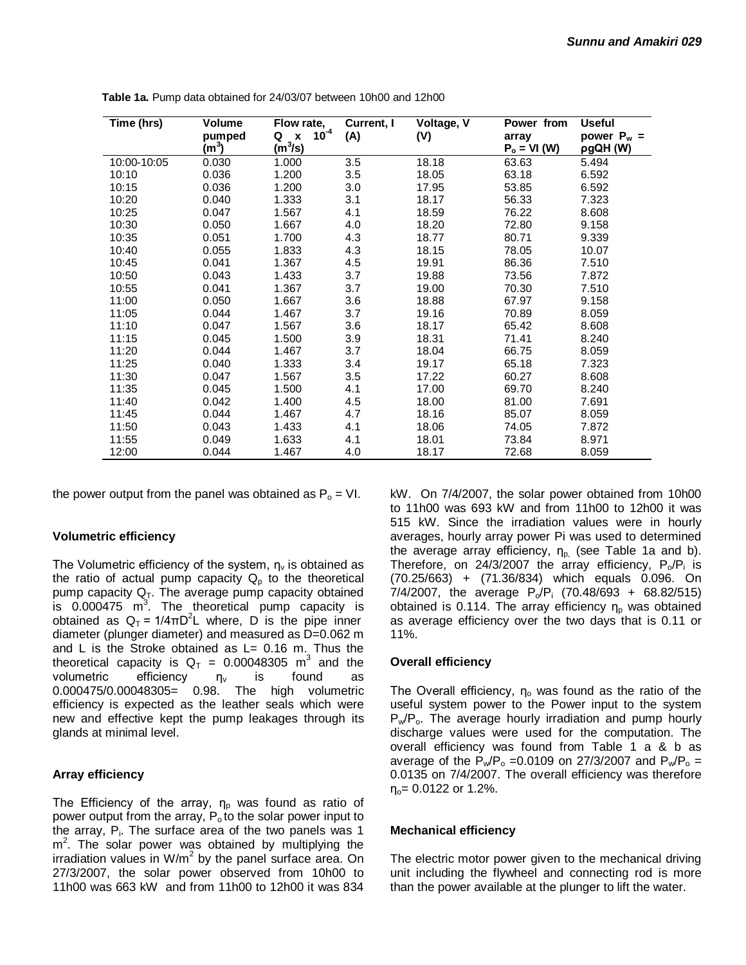| Time (hrs)  | Volume            | Flow rate,                                  | Current, I | Voltage, V | Power from              | <b>Useful</b>             |
|-------------|-------------------|---------------------------------------------|------------|------------|-------------------------|---------------------------|
|             | pumped<br>$(m^3)$ | $10^{-4}$<br>Q<br>$\mathbf{x}$<br>$(m^3/s)$ | (A)        | (V)        | array<br>$P_o = VI (W)$ | power $P_w =$<br>pgQH (W) |
| 10:00-10:05 | 0.030             | 1.000                                       | 3.5        | 18.18      | 63.63                   | 5.494                     |
| 10:10       | 0.036             | 1.200                                       | 3.5        | 18.05      | 63.18                   | 6.592                     |
| 10:15       | 0.036             | 1.200                                       | 3.0        | 17.95      | 53.85                   | 6.592                     |
| 10:20       | 0.040             | 1.333                                       | 3.1        | 18.17      | 56.33                   | 7.323                     |
| 10:25       | 0.047             | 1.567                                       | 4.1        | 18.59      | 76.22                   | 8.608                     |
| 10:30       | 0.050             | 1.667                                       | 4.0        | 18.20      | 72.80                   | 9.158                     |
| 10:35       | 0.051             | 1.700                                       | 4.3        | 18.77      | 80.71                   | 9.339                     |
| 10:40       | 0.055             | 1.833                                       | 4.3        | 18.15      | 78.05                   | 10.07                     |
| 10:45       | 0.041             | 1.367                                       | 4.5        | 19.91      | 86.36                   | 7.510                     |
| 10:50       | 0.043             | 1.433                                       | 3.7        | 19.88      | 73.56                   | 7.872                     |
| 10:55       | 0.041             | 1.367                                       | 3.7        | 19.00      | 70.30                   | 7.510                     |
| 11:00       | 0.050             | 1.667                                       | 3.6        | 18.88      | 67.97                   | 9.158                     |
| 11:05       | 0.044             | 1.467                                       | 3.7        | 19.16      | 70.89                   | 8.059                     |
| 11:10       | 0.047             | 1.567                                       | 3.6        | 18.17      | 65.42                   | 8.608                     |
| 11:15       | 0.045             | 1.500                                       | 3.9        | 18.31      | 71.41                   | 8.240                     |
| 11:20       | 0.044             | 1.467                                       | 3.7        | 18.04      | 66.75                   | 8.059                     |
| 11:25       | 0.040             | 1.333                                       | 3.4        | 19.17      | 65.18                   | 7.323                     |
| 11:30       | 0.047             | 1.567                                       | 3.5        | 17.22      | 60.27                   | 8.608                     |
| 11:35       | 0.045             | 1.500                                       | 4.1        | 17.00      | 69.70                   | 8.240                     |
| 11:40       | 0.042             | 1.400                                       | 4.5        | 18.00      | 81.00                   | 7.691                     |
| 11:45       | 0.044             | 1.467                                       | 4.7        | 18.16      | 85.07                   | 8.059                     |
| 11:50       | 0.043             | 1.433                                       | 4.1        | 18.06      | 74.05                   | 7.872                     |
| 11:55       | 0.049             | 1.633                                       | 4.1        | 18.01      | 73.84                   | 8.971                     |
| 12:00       | 0.044             | 1.467                                       | 4.0        | 18.17      | 72.68                   | 8.059                     |

**Table 1a.** Pump data obtained for 24/03/07 between 10h00 and 12h00

the power output from the panel was obtained as  $P_0 = VI$ .

#### **Volumetric efficiency**

The Volumetric efficiency of the system,  $n_v$  is obtained as the ratio of actual pump capacity  $Q_p$  to the theoretical pump capacity  $Q_T$ . The average pump capacity obtained is  $0.000475$  m<sup>3</sup>. The theoretical pump capacity is obtained as  $Q_T = 1/4\pi D^2 L$  where, D is the pipe inner diameter (plunger diameter) and measured as D=0.062 m and L is the Stroke obtained as  $L = 0.16$  m. Thus the theoretical capacity is  $Q_T = 0.00048305$  m<sup>3</sup> and the volumetric efficiency  $\eta_v$  is found as 0.000475/0.00048305= 0.98. The high volumetric efficiency is expected as the leather seals which were new and effective kept the pump leakages through its glands at minimal level.

#### **Array efficiency**

The Efficiency of the array,  $\eta_{p}$  was found as ratio of power output from the array,  $P_0$  to the solar power input to the array, P<sub>i</sub>. The surface area of the two panels was 1 m<sup>2</sup>. The solar power was obtained by multiplying the irradiation values in W/m<sup>2</sup> by the panel surface area. On 27/3/2007, the solar power observed from 10h00 to 11h00 was 663 kW and from 11h00 to 12h00 it was 834

kW. On 7/4/2007, the solar power obtained from 10h00 to 11h00 was 693 kW and from 11h00 to 12h00 it was 515 kW. Since the irradiation values were in hourly averages, hourly array power Pi was used to determined the average array efficiency,  $\eta_{p}$  (see Table 1a and b). Therefore, on 24/3/2007 the array efficiency,  $P_o/P_i$  is (70.25/663) + (71.36/834) which equals 0.096. On 7/4/2007, the average  $P_o/P_i$  (70.48/693 + 68.82/515) obtained is 0.114. The array efficiency  $n<sub>o</sub>$  was obtained as average efficiency over the two days that is 0.11 or 11%.

#### **Overall efficiency**

The Overall efficiency,  $\eta_0$  was found as the ratio of the useful system power to the Power input to the system  $P_w/P_o$ . The average hourly irradiation and pump hourly discharge values were used for the computation. The overall efficiency was found from Table 1 a & b as average of the  $P_w/P_o = 0.0109$  on 27/3/2007 and  $P_w/P_o =$ 0.0135 on 7/4/2007. The overall efficiency was therefore  $\eta_{o} = 0.0122$  or 1.2%.

#### **Mechanical efficiency**

The electric motor power given to the mechanical driving unit including the flywheel and connecting rod is more than the power available at the plunger to lift the water.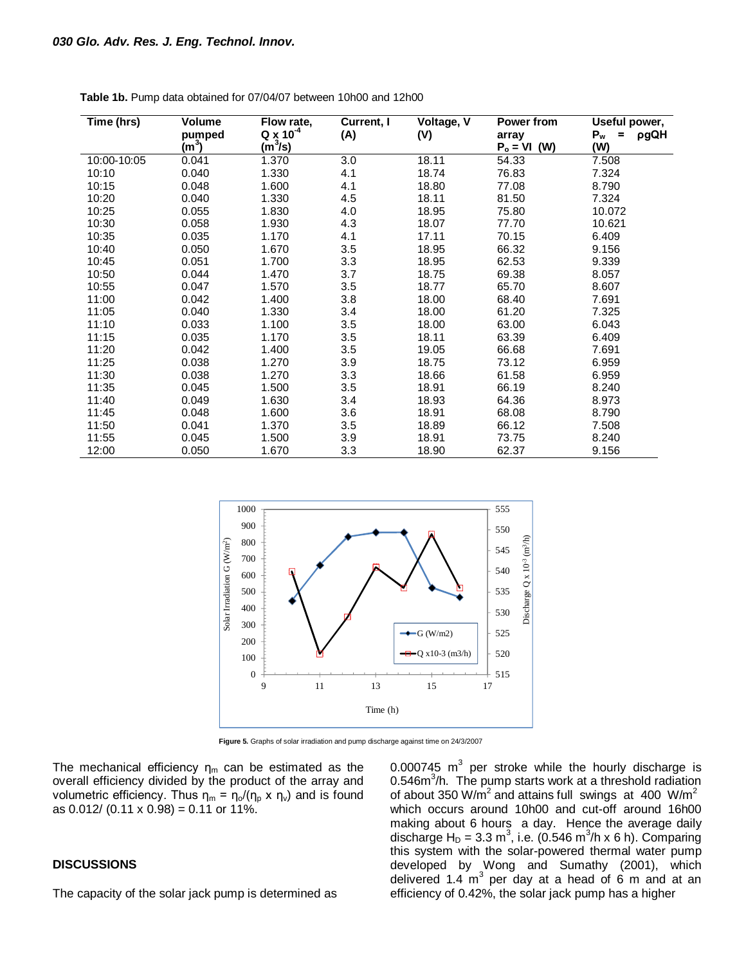| Time (hrs)  | Volume<br>pumped<br>(m <sup>3</sup> ) | Flow rate,<br>$Q \times 10^{-4}$<br>$(m^3/s)$ | Current, I<br>(A) | Voltage, V<br>(V) | Power from<br>array<br>(W)<br>$P_o = VI$ | Useful power,<br>$P_w$<br>pgQH<br>$\equiv$<br>(W) |
|-------------|---------------------------------------|-----------------------------------------------|-------------------|-------------------|------------------------------------------|---------------------------------------------------|
| 10:00-10:05 | 0.041                                 | 1.370                                         | 3.0               | 18.11             | 54.33                                    | 7.508                                             |
| 10:10       | 0.040                                 | 1.330                                         | 4.1               | 18.74             | 76.83                                    | 7.324                                             |
| 10:15       | 0.048                                 | 1.600                                         | 4.1               | 18.80             | 77.08                                    | 8.790                                             |
| 10:20       | 0.040                                 | 1.330                                         | 4.5               | 18.11             | 81.50                                    | 7.324                                             |
| 10:25       | 0.055                                 | 1.830                                         | 4.0               | 18.95             | 75.80                                    | 10.072                                            |
| 10:30       | 0.058                                 | 1.930                                         | 4.3               | 18.07             | 77.70                                    | 10.621                                            |
| 10:35       | 0.035                                 | 1.170                                         | 4.1               | 17.11             | 70.15                                    | 6.409                                             |
| 10:40       | 0.050                                 | 1.670                                         | 3.5               | 18.95             | 66.32                                    | 9.156                                             |
| 10:45       | 0.051                                 | 1.700                                         | 3.3               | 18.95             | 62.53                                    | 9.339                                             |
| 10:50       | 0.044                                 | 1.470                                         | 3.7               | 18.75             | 69.38                                    | 8.057                                             |
| 10:55       | 0.047                                 | 1.570                                         | 3.5               | 18.77             | 65.70                                    | 8.607                                             |
| 11:00       | 0.042                                 | 1.400                                         | 3.8               | 18.00             | 68.40                                    | 7.691                                             |
| 11:05       | 0.040                                 | 1.330                                         | 3.4               | 18.00             | 61.20                                    | 7.325                                             |
| 11:10       | 0.033                                 | 1.100                                         | 3.5               | 18.00             | 63.00                                    | 6.043                                             |
| 11:15       | 0.035                                 | 1.170                                         | 3.5               | 18.11             | 63.39                                    | 6.409                                             |
| 11:20       | 0.042                                 | 1.400                                         | 3.5               | 19.05             | 66.68                                    | 7.691                                             |
| 11:25       | 0.038                                 | 1.270                                         | 3.9               | 18.75             | 73.12                                    | 6.959                                             |
| 11:30       | 0.038                                 | 1.270                                         | 3.3               | 18.66             | 61.58                                    | 6.959                                             |
| 11:35       | 0.045                                 | 1.500                                         | 3.5               | 18.91             | 66.19                                    | 8.240                                             |
| 11:40       | 0.049                                 | 1.630                                         | 3.4               | 18.93             | 64.36                                    | 8.973                                             |
| 11:45       | 0.048                                 | 1.600                                         | 3.6               | 18.91             | 68.08                                    | 8.790                                             |
| 11:50       | 0.041                                 | 1.370                                         | 3.5               | 18.89             | 66.12                                    | 7.508                                             |
| 11:55       | 0.045                                 | 1.500                                         | 3.9               | 18.91             | 73.75                                    | 8.240                                             |
| 12:00       | 0.050                                 | 1.670                                         | 3.3               | 18.90             | 62.37                                    | 9.156                                             |

**Table 1b.** Pump data obtained for 07/04/07 between 10h00 and 12h00



**Figure 5.** Graphs of solar irradiation and pump discharge against time on 24/3/2007

The mechanical efficiency  $\eta_m$  can be estimated as the overall efficiency divided by the product of the array and volumetric efficiency. Thus  $\eta_m = \eta_0/(\eta_p \times \eta_v)$  and is found as  $0.012/$  (0.11 x 0.98) = 0.11 or 11%.

#### **DISCUSSIONS**

The capacity of the solar jack pump is determined as

0.000745  $m^3$  per stroke while the hourly discharge is 0.546m<sup>3</sup>/h. The pump starts work at a threshold radiation of about 350 W/m<sup>2</sup> and attains full swings at 400 W/m<sup>2</sup> which occurs around 10h00 and cut-off around 16h00 making about 6 hours a day. Hence the average daily discharge H<sub>D</sub> = 3.3 m<sup>3</sup>, i.e. (0.546 m<sup>3</sup>/h x 6 h). Comparing this system with the solar-powered thermal water pump developed by Wong and Sumathy (2001), which delivered 1.4  $\text{m}^3$  per day at a head of 6 m and at an efficiency of 0.42%, the solar jack pump has a higher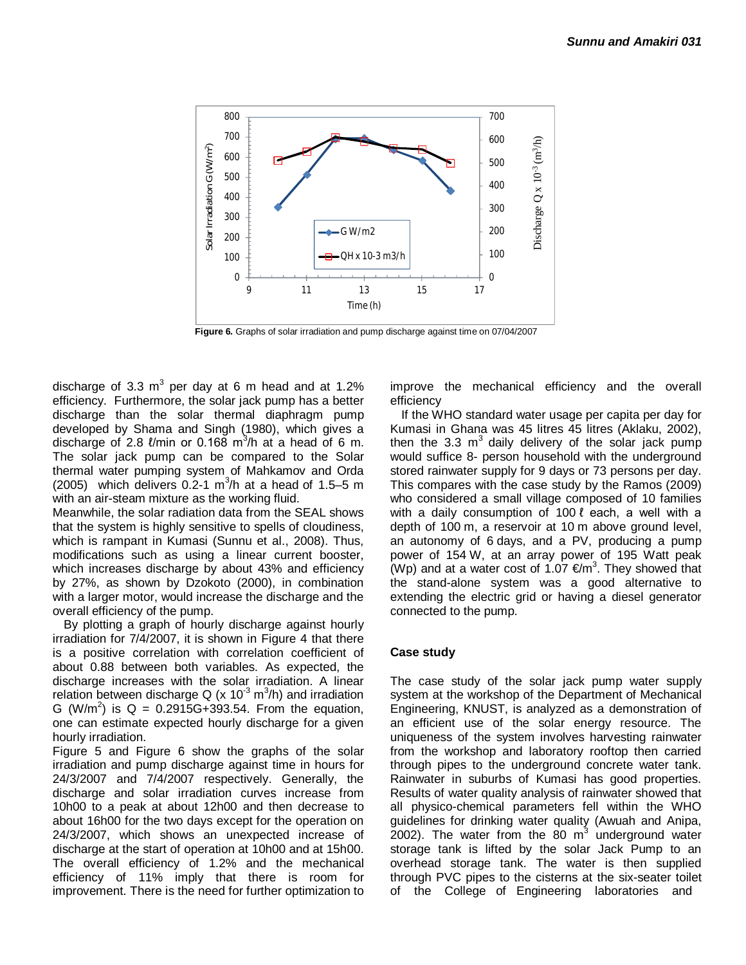

**Figure 6.** Graphs of solar irradiation and pump discharge against time on 07/04/2007

discharge of 3.3 m<sup>3</sup> per day at 6 m head and at 1.2% efficiency. Furthermore, the solar jack pump has a better discharge than the solar thermal diaphragm pump developed by Shama and Singh (1980), which gives a discharge of 2.8  $\ell$ /min or 0.168 m<sup>3</sup>/h at a head of 6 m. The solar jack pump can be compared to the Solar thermal water pumping system of Mahkamov and Orda (2005) which delivers  $0.2$ -1 m<sup>3</sup>/h at a head of 1.5–5 m with an air-steam mixture as the working fluid.

Meanwhile, the solar radiation data from the SEAL shows that the system is highly sensitive to spells of cloudiness, which is rampant in Kumasi (Sunnu et al., 2008). Thus, modifications such as using a linear current booster, which increases discharge by about 43% and efficiency by 27%, as shown by Dzokoto (2000), in combination with a larger motor, would increase the discharge and the overall efficiency of the pump.

By plotting a graph of hourly discharge against hourly irradiation for 7/4/2007, it is shown in Figure 4 that there is a positive correlation with correlation coefficient of about 0.88 between both variables. As expected, the discharge increases with the solar irradiation. A linear relation between discharge Q (x  $10^{3}$  m $^{3}$ /h) and irradiation G (W/m<sup>2</sup>) is Q = 0.2915G+393.54. From the equation, one can estimate expected hourly discharge for a given hourly irradiation.

Figure 5 and Figure 6 show the graphs of the solar irradiation and pump discharge against time in hours for 24/3/2007 and 7/4/2007 respectively. Generally, the discharge and solar irradiation curves increase from 10h00 to a peak at about 12h00 and then decrease to about 16h00 for the two days except for the operation on 24/3/2007, which shows an unexpected increase of discharge at the start of operation at 10h00 and at 15h00. The overall efficiency of 1.2% and the mechanical efficiency of 11% imply that there is room for improvement. There is the need for further optimization to

improve the mechanical efficiency and the overall efficiency

If the WHO standard water usage per capita per day for Kumasi in Ghana was 45 litres 45 litres (Aklaku, 2002), then the 3.3  $m^3$  daily delivery of the solar jack pump would suffice 8- person household with the underground stored rainwater supply for 9 days or 73 persons per day. This compares with the case study by the Ramos (2009) who considered a small village composed of 10 families with a daily consumption of 100 ℓ each, a well with a depth of 100 m, a reservoir at 10 m above ground level, an autonomy of 6 days, and a PV, producing a pump power of 154 W, at an array power of 195 Watt peak (Wp) and at a water cost of 1.07  $\epsilon/m^3$ . They showed that the stand-alone system was a good alternative to extending the electric grid or having a diesel generator connected to the pump.

#### **Case study**

The case study of the solar jack pump water supply system at the workshop of the Department of Mechanical Engineering, KNUST, is analyzed as a demonstration of an efficient use of the solar energy resource. The uniqueness of the system involves harvesting rainwater from the workshop and laboratory rooftop then carried through pipes to the underground concrete water tank. Rainwater in suburbs of Kumasi has good properties. Results of water quality analysis of rainwater showed that all physico-chemical parameters fell within the WHO guidelines for drinking water quality (Awuah and Anipa, 2002). The water from the 80  $m<sup>3</sup>$  underground water storage tank is lifted by the solar Jack Pump to an overhead storage tank. The water is then supplied through PVC pipes to the cisterns at the six-seater toilet of the College of Engineering laboratories and